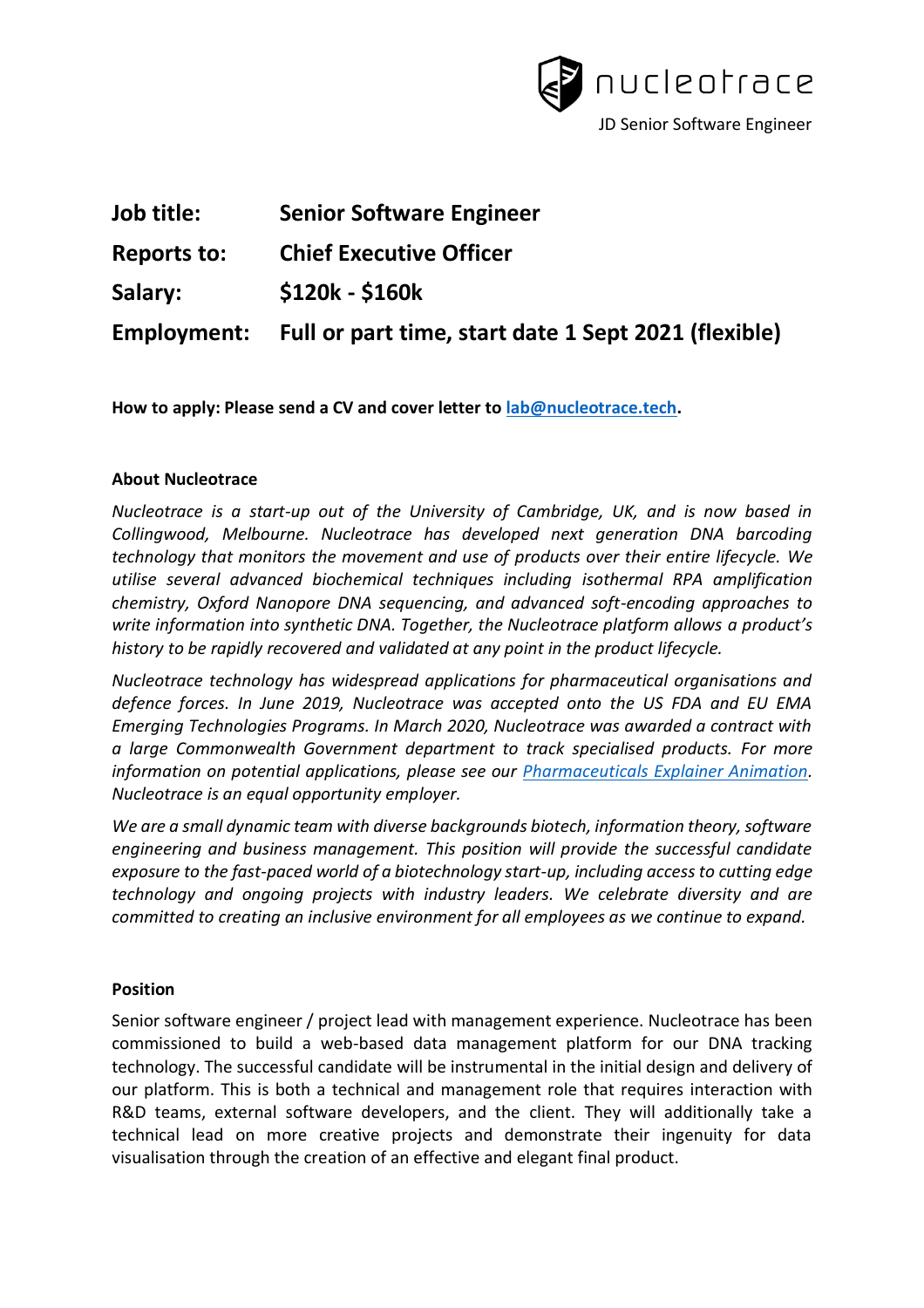

| Job title:         | <b>Senior Software Engineer</b>                      |
|--------------------|------------------------------------------------------|
| <b>Reports to:</b> | <b>Chief Executive Officer</b>                       |
| Salary:            | $$120k - $160k$                                      |
| Employment:        | Full or part time, start date 1 Sept 2021 (flexible) |

**How to apply: Please send a CV and cover letter to [lab@nucleotrace.tech.](mailto:lab@nucleotrace.tech)**

#### **About Nucleotrace**

*Nucleotrace is a start-up out of the University of Cambridge, UK, and is now based in Collingwood, Melbourne. Nucleotrace has developed next generation DNA barcoding technology that monitors the movement and use of products over their entire lifecycle. We utilise several advanced biochemical techniques including isothermal RPA amplification chemistry, Oxford Nanopore DNA sequencing, and advanced soft-encoding approaches to write information into synthetic DNA. Together, the Nucleotrace platform allows a product's history to be rapidly recovered and validated at any point in the product lifecycle.* 

*Nucleotrace technology has widespread applications for pharmaceutical organisations and defence forces. In June 2019, Nucleotrace was accepted onto the US FDA and EU EMA Emerging Technologies Programs. In March 2020, Nucleotrace was awarded a contract with a large Commonwealth Government department to track specialised products. For more information on potential applications, please see our [Pharmaceuticals Explainer Animation.](https://youtu.be/RUC3_BRvqxs) Nucleotrace is an equal opportunity employer.* 

*We are a small dynamic team with diverse backgrounds biotech, information theory, software engineering and business management. This position will provide the successful candidate exposure to the fast-paced world of a biotechnology start-up, including access to cutting edge technology and ongoing projects with industry leaders. We celebrate diversity and are committed to creating an inclusive environment for all employees as we continue to expand.* 

#### **Position**

Senior software engineer / project lead with management experience. Nucleotrace has been commissioned to build a web-based data management platform for our DNA tracking technology. The successful candidate will be instrumental in the initial design and delivery of our platform. This is both a technical and management role that requires interaction with R&D teams, external software developers, and the client. They will additionally take a technical lead on more creative projects and demonstrate their ingenuity for data visualisation through the creation of an effective and elegant final product.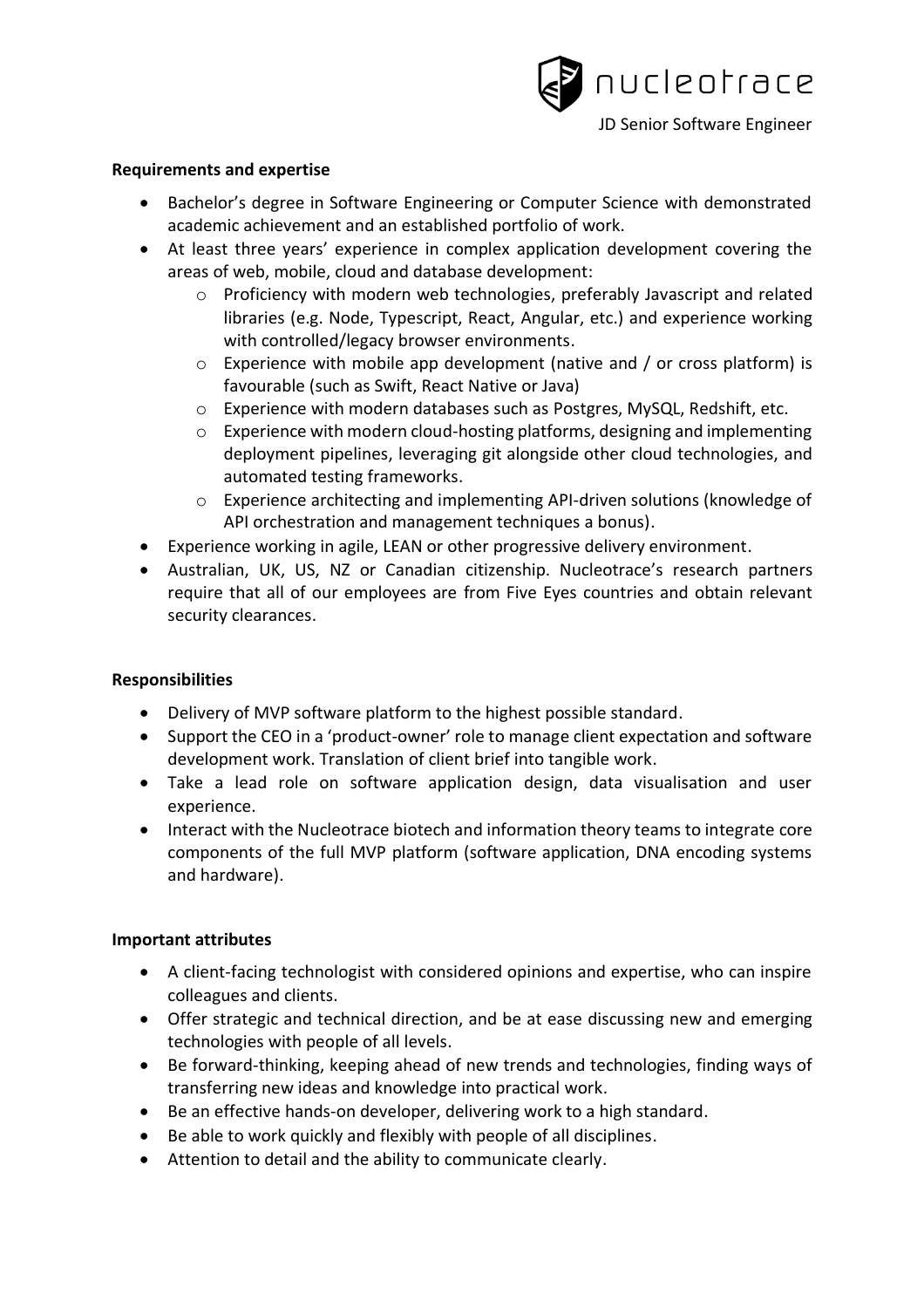

### **Requirements and expertise**

- Bachelor's degree in Software Engineering or Computer Science with demonstrated academic achievement and an established portfolio of work.
- At least three years' experience in complex application development covering the areas of web, mobile, cloud and database development:
	- o Proficiency with modern web technologies, preferably Javascript and related libraries (e.g. Node, Typescript, React, Angular, etc.) and experience working with controlled/legacy browser environments.
	- $\circ$  Experience with mobile app development (native and / or cross platform) is favourable (such as Swift, React Native or Java)
	- o Experience with modern databases such as Postgres, MySQL, Redshift, etc.
	- o Experience with modern cloud-hosting platforms, designing and implementing deployment pipelines, leveraging git alongside other cloud technologies, and automated testing frameworks.
	- o Experience architecting and implementing API-driven solutions (knowledge of API orchestration and management techniques a bonus).
- Experience working in agile, LEAN or other progressive delivery environment.
- Australian, UK, US, NZ or Canadian citizenship. Nucleotrace's research partners require that all of our employees are from Five Eyes countries and obtain relevant security clearances.

#### **Responsibilities**

- Delivery of MVP software platform to the highest possible standard.
- Support the CEO in a 'product-owner' role to manage client expectation and software development work. Translation of client brief into tangible work.
- Take a lead role on software application design, data visualisation and user experience.
- Interact with the Nucleotrace biotech and information theory teams to integrate core components of the full MVP platform (software application, DNA encoding systems and hardware).

## **Important attributes**

- A client-facing technologist with considered opinions and expertise, who can inspire colleagues and clients.
- Offer strategic and technical direction, and be at ease discussing new and emerging technologies with people of all levels.
- Be forward-thinking, keeping ahead of new trends and technologies, finding ways of transferring new ideas and knowledge into practical work.
- Be an effective hands-on developer, delivering work to a high standard.
- Be able to work quickly and flexibly with people of all disciplines.
- Attention to detail and the ability to communicate clearly.